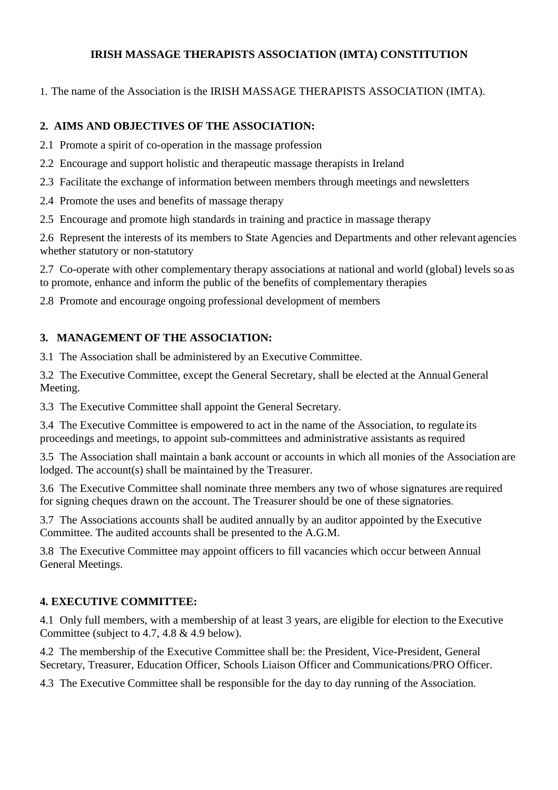### **IRISH MASSAGE THERAPISTS ASSOCIATION (IMTA) CONSTITUTION**

1. The name of the Association is the IRISH MASSAGE THERAPISTS ASSOCIATION (IMTA).

#### **2. AIMS AND OBJECTIVES OF THE ASSOCIATION:**

- 2.1 Promote a spirit of co-operation in the massage profession
- 2.2 Encourage and support holistic and therapeutic massage therapists in Ireland
- 2.3 Facilitate the exchange of information between members through meetings and newsletters
- 2.4 Promote the uses and benefits of massage therapy
- 2.5 Encourage and promote high standards in training and practice in massage therapy

2.6 Represent the interests of its members to State Agencies and Departments and other relevant agencies whether statutory or non-statutory

2.7 Co-operate with other complementary therapy associations at national and world (global) levels so as to promote, enhance and inform the public of the benefits of complementary therapies

2.8 Promote and encourage ongoing professional development of members

### **3. MANAGEMENT OF THE ASSOCIATION:**

3.1 The Association shall be administered by an Executive Committee.

3.2 The Executive Committee, except the General Secretary, shall be elected at the Annual General Meeting.

3.3 The Executive Committee shall appoint the General Secretary.

3.4 The Executive Committee is empowered to act in the name of the Association, to regulate its proceedings and meetings, to appoint sub-committees and administrative assistants asrequired

3.5 The Association shall maintain a bank account or accounts in which all monies of the Association are lodged. The account(s) shall be maintained by the Treasurer.

3.6 The Executive Committee shall nominate three members any two of whose signatures are required for signing cheques drawn on the account. The Treasurer should be one of these signatories.

3.7 The Associations accounts shall be audited annually by an auditor appointed by the Executive Committee. The audited accounts shall be presented to the A.G.M.

3.8 The Executive Committee may appoint officers to fill vacancies which occur between Annual General Meetings.

### **4. EXECUTIVE COMMITTEE:**

4.1 Only full members, with a membership of at least 3 years, are eligible for election to the Executive Committee (subject to 4.7, 4.8 & 4.9 below).

4.2 The membership of the Executive Committee shall be: the President, Vice-President, General Secretary, Treasurer, Education Officer, Schools Liaison Officer and Communications/PRO Officer.

4.3 The Executive Committee shall be responsible for the day to day running of the Association.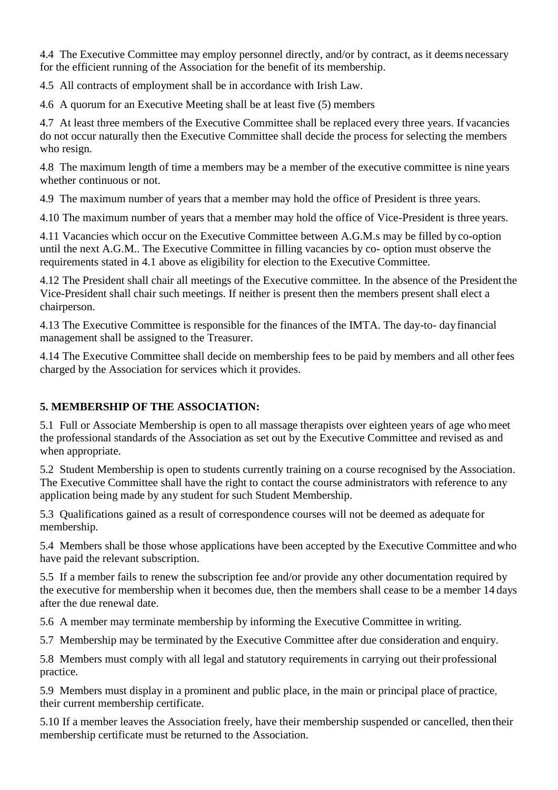4.4 The Executive Committee may employ personnel directly, and/or by contract, as it deems necessary for the efficient running of the Association for the benefit of its membership.

4.5 All contracts of employment shall be in accordance with Irish Law.

4.6 A quorum for an Executive Meeting shall be at least five (5) members

4.7 At least three members of the Executive Committee shall be replaced every three years. If vacancies do not occur naturally then the Executive Committee shall decide the process for selecting the members who resign.

4.8 The maximum length of time a members may be a member of the executive committee is nine years whether continuous or not.

4.9 The maximum number of years that a member may hold the office of President is three years.

4.10 The maximum number of years that a member may hold the office of Vice-President is three years.

4.11 Vacancies which occur on the Executive Committee between A.G.M.s may be filled by co-option until the next A.G.M.. The Executive Committee in filling vacancies by co- option must observe the requirements stated in 4.1 above as eligibility for election to the Executive Committee.

4.12 The President shall chair all meetings of the Executive committee. In the absence of the President the Vice-President shall chair such meetings. If neither is present then the members present shall elect a chairperson.

4.13 The Executive Committee is responsible for the finances of the IMTA. The day-to- day financial management shall be assigned to the Treasurer.

4.14 The Executive Committee shall decide on membership fees to be paid by members and all otherfees charged by the Association for services which it provides.

# **5. MEMBERSHIP OF THE ASSOCIATION:**

5.1 Full or Associate Membership is open to all massage therapists over eighteen years of age who meet the professional standards of the Association as set out by the Executive Committee and revised as and when appropriate.

5.2 Student Membership is open to students currently training on a course recognised by the Association. The Executive Committee shall have the right to contact the course administrators with reference to any application being made by any student for such Student Membership.

5.3 Qualifications gained as a result of correspondence courses will not be deemed as adequate for membership.

5.4 Members shall be those whose applications have been accepted by the Executive Committee andwho have paid the relevant subscription.

5.5 If a member fails to renew the subscription fee and/or provide any other documentation required by the executive for membership when it becomes due, then the members shall cease to be a member 14 days after the due renewal date.

5.6 A member may terminate membership by informing the Executive Committee in writing.

5.7 Membership may be terminated by the Executive Committee after due consideration and enquiry.

5.8 Members must comply with all legal and statutory requirements in carrying out their professional practice.

5.9 Members must display in a prominent and public place, in the main or principal place of practice, their current membership certificate.

5.10 If a member leaves the Association freely, have their membership suspended or cancelled, then their membership certificate must be returned to the Association.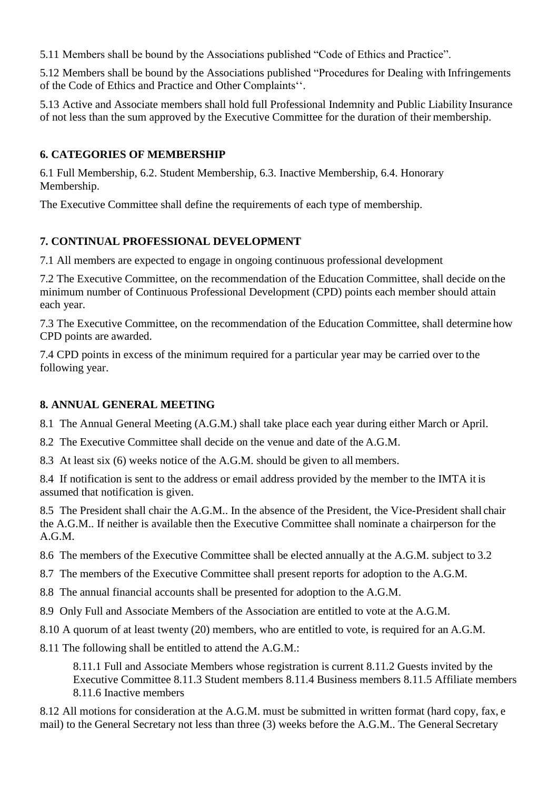5.11 Members shall be bound by the Associations published "Code of Ethics and Practice".

5.12 Members shall be bound by the Associations published "Procedures for Dealing with Infringements of the Code of Ethics and Practice and Other Complaints''.

5.13 Active and Associate members shall hold full Professional Indemnity and Public Liability Insurance of not less than the sum approved by the Executive Committee for the duration of their membership.

### **6. CATEGORIES OF MEMBERSHIP**

6.1 Full Membership, 6.2. Student Membership, 6.3. Inactive Membership, 6.4. Honorary Membership.

The Executive Committee shall define the requirements of each type of membership.

### **7. CONTINUAL PROFESSIONAL DEVELOPMENT**

7.1 All members are expected to engage in ongoing continuous professional development

7.2 The Executive Committee, on the recommendation of the Education Committee, shall decide on the minimum number of Continuous Professional Development (CPD) points each member should attain each year.

7.3 The Executive Committee, on the recommendation of the Education Committee, shall determine how CPD points are awarded.

7.4 CPD points in excess of the minimum required for a particular year may be carried over to the following year.

#### **8. ANNUAL GENERAL MEETING**

8.1 The Annual General Meeting (A.G.M.) shall take place each year during either March or April.

8.2 The Executive Committee shall decide on the venue and date of the A.G.M.

8.3 At least six (6) weeks notice of the A.G.M. should be given to all members.

8.4 If notification is sent to the address or email address provided by the member to the IMTA it is assumed that notification is given.

8.5 The President shall chair the A.G.M.. In the absence of the President, the Vice-President shall chair the A.G.M.. If neither is available then the Executive Committee shall nominate a chairperson for the A.G.M.

8.6 The members of the Executive Committee shall be elected annually at the A.G.M. subject to 3.2

- 8.7 The members of the Executive Committee shall present reports for adoption to the A.G.M.
- 8.8 The annual financial accounts shall be presented for adoption to the A.G.M.
- 8.9 Only Full and Associate Members of the Association are entitled to vote at the A.G.M.
- 8.10 A quorum of at least twenty (20) members, who are entitled to vote, is required for an A.G.M.

8.11 The following shall be entitled to attend the A.G.M.:

8.11.1 Full and Associate Members whose registration is current 8.11.2 Guests invited by the Executive Committee 8.11.3 Student members 8.11.4 Business members 8.11.5 Affiliate members 8.11.6 Inactive members

8.12 All motions for consideration at the A.G.M. must be submitted in written format (hard copy, fax, e mail) to the General Secretary not less than three (3) weeks before the A.G.M.. The General Secretary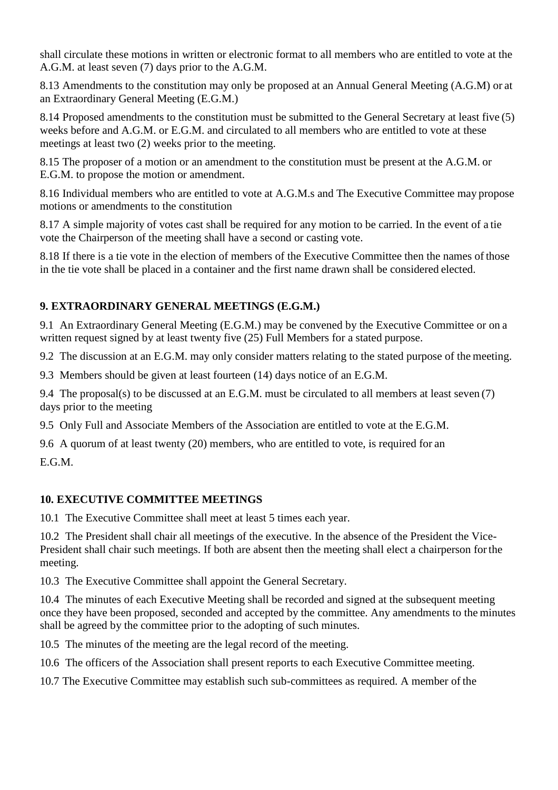shall circulate these motions in written or electronic format to all members who are entitled to vote at the A.G.M. at least seven (7) days prior to the A.G.M.

8.13 Amendments to the constitution may only be proposed at an Annual General Meeting (A.G.M) or at an Extraordinary General Meeting (E.G.M.)

8.14 Proposed amendments to the constitution must be submitted to the General Secretary at least five (5) weeks before and A.G.M. or E.G.M. and circulated to all members who are entitled to vote at these meetings at least two (2) weeks prior to the meeting.

8.15 The proposer of a motion or an amendment to the constitution must be present at the A.G.M. or E.G.M. to propose the motion or amendment.

8.16 Individual members who are entitled to vote at A.G.M.s and The Executive Committee may propose motions or amendments to the constitution

8.17 A simple majority of votes cast shall be required for any motion to be carried. In the event of a tie vote the Chairperson of the meeting shall have a second or casting vote.

8.18 If there is a tie vote in the election of members of the Executive Committee then the names of those in the tie vote shall be placed in a container and the first name drawn shall be considered elected.

# **9. EXTRAORDINARY GENERAL MEETINGS (E.G.M.)**

9.1 An Extraordinary General Meeting (E.G.M.) may be convened by the Executive Committee or on a written request signed by at least twenty five (25) Full Members for a stated purpose.

9.2 The discussion at an E.G.M. may only consider matters relating to the stated purpose of the meeting.

9.3 Members should be given at least fourteen (14) days notice of an E.G.M.

9.4 The proposal(s) to be discussed at an E.G.M. must be circulated to all members at least seven (7) days prior to the meeting

9.5 Only Full and Associate Members of the Association are entitled to vote at the E.G.M.

9.6 A quorum of at least twenty (20) members, who are entitled to vote, is required for an E.G.M.

# **10. EXECUTIVE COMMITTEE MEETINGS**

10.1 The Executive Committee shall meet at least 5 times each year.

10.2 The President shall chair all meetings of the executive. In the absence of the President the Vice-President shall chair such meetings. If both are absent then the meeting shall elect a chairperson forthe meeting.

10.3 The Executive Committee shall appoint the General Secretary.

10.4 The minutes of each Executive Meeting shall be recorded and signed at the subsequent meeting once they have been proposed, seconded and accepted by the committee. Any amendments to the minutes shall be agreed by the committee prior to the adopting of such minutes.

10.5 The minutes of the meeting are the legal record of the meeting.

10.6 The officers of the Association shall present reports to each Executive Committee meeting.

10.7 The Executive Committee may establish such sub-committees as required. A member of the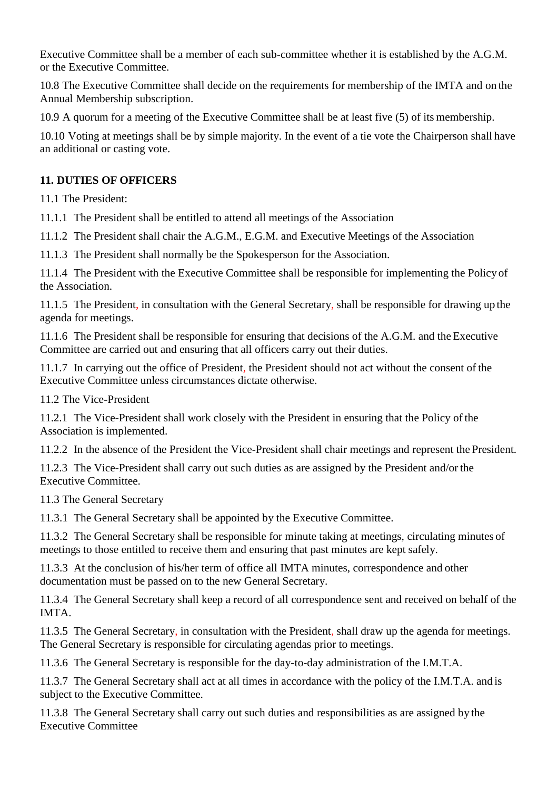Executive Committee shall be a member of each sub-committee whether it is established by the A.G.M. or the Executive Committee.

10.8 The Executive Committee shall decide on the requirements for membership of the IMTA and on the Annual Membership subscription.

10.9 A quorum for a meeting of the Executive Committee shall be at least five (5) of its membership.

10.10 Voting at meetings shall be by simple majority. In the event of a tie vote the Chairperson shall have an additional or casting vote.

### **11. DUTIES OF OFFICERS**

11.1 The President:

11.1.1 The President shall be entitled to attend all meetings of the Association

11.1.2 The President shall chair the A.G.M., E.G.M. and Executive Meetings of the Association

11.1.3 The President shall normally be the Spokesperson for the Association.

11.1.4 The President with the Executive Committee shall be responsible for implementing the Policy of the Association.

11.1.5 The President, in consultation with the General Secretary, shall be responsible for drawing up the agenda for meetings.

11.1.6 The President shall be responsible for ensuring that decisions of the A.G.M. and the Executive Committee are carried out and ensuring that all officers carry out their duties.

11.1.7 In carrying out the office of President, the President should not act without the consent of the Executive Committee unless circumstances dictate otherwise.

11.2 The Vice-President

11.2.1 The Vice-President shall work closely with the President in ensuring that the Policy of the Association is implemented.

11.2.2 In the absence of the President the Vice-President shall chair meetings and represent the President.

11.2.3 The Vice-President shall carry out such duties as are assigned by the President and/orthe Executive Committee.

11.3 The General Secretary

11.3.1 The General Secretary shall be appointed by the Executive Committee.

11.3.2 The General Secretary shall be responsible for minute taking at meetings, circulating minutes of meetings to those entitled to receive them and ensuring that past minutes are kept safely.

11.3.3 At the conclusion of his/her term of office all IMTA minutes, correspondence and other documentation must be passed on to the new General Secretary.

11.3.4 The General Secretary shall keep a record of all correspondence sent and received on behalf of the IMTA.

11.3.5 The General Secretary, in consultation with the President, shall draw up the agenda for meetings. The General Secretary is responsible for circulating agendas prior to meetings.

11.3.6 The General Secretary is responsible for the day-to-day administration of the I.M.T.A.

11.3.7 The General Secretary shall act at all times in accordance with the policy of the I.M.T.A. and is subject to the Executive Committee.

11.3.8 The General Secretary shall carry out such duties and responsibilities as are assigned by the Executive Committee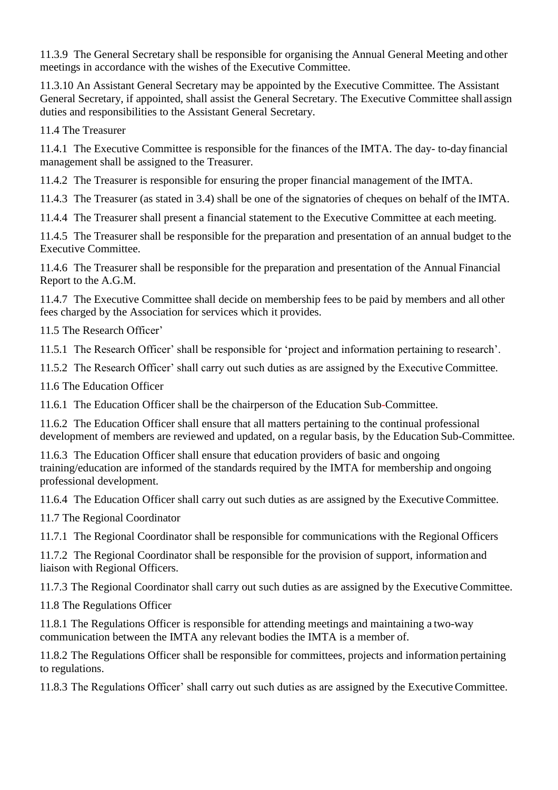11.3.9 The General Secretary shall be responsible for organising the Annual General Meeting and other meetings in accordance with the wishes of the Executive Committee.

11.3.10 An Assistant General Secretary may be appointed by the Executive Committee. The Assistant General Secretary, if appointed, shall assist the General Secretary. The Executive Committee shall assign duties and responsibilities to the Assistant General Secretary.

11.4 The Treasurer

11.4.1 The Executive Committee is responsible for the finances of the IMTA. The day- to-day financial management shall be assigned to the Treasurer.

11.4.2 The Treasurer is responsible for ensuring the proper financial management of the IMTA.

11.4.3 The Treasurer (as stated in 3.4) shall be one of the signatories of cheques on behalf of the IMTA.

11.4.4 The Treasurer shall present a financial statement to the Executive Committee at each meeting.

11.4.5 The Treasurer shall be responsible for the preparation and presentation of an annual budget to the Executive Committee.

11.4.6 The Treasurer shall be responsible for the preparation and presentation of the Annual Financial Report to the A.G.M.

11.4.7 The Executive Committee shall decide on membership fees to be paid by members and all other fees charged by the Association for services which it provides.

11.5 The Research Officer'

11.5.1 The Research Officer' shall be responsible for 'project and information pertaining to research'.

11.5.2 The Research Officer' shall carry out such duties as are assigned by the Executive Committee.

11.6 The Education Officer

11.6.1 The Education Officer shall be the chairperson of the Education Sub-Committee.

11.6.2 The Education Officer shall ensure that all matters pertaining to the continual professional development of members are reviewed and updated, on a regular basis, by the Education Sub-Committee.

11.6.3 The Education Officer shall ensure that education providers of basic and ongoing training/education are informed of the standards required by the IMTA for membership and ongoing professional development.

11.6.4 The Education Officer shall carry out such duties as are assigned by the Executive Committee.

11.7 The Regional Coordinator

11.7.1 The Regional Coordinator shall be responsible for communications with the Regional Officers

11.7.2 The Regional Coordinator shall be responsible for the provision of support, information and liaison with Regional Officers.

11.7.3 The Regional Coordinator shall carry out such duties as are assigned by the ExecutiveCommittee.

11.8 The Regulations Officer

11.8.1 The Regulations Officer is responsible for attending meetings and maintaining a two-way communication between the IMTA any relevant bodies the IMTA is a member of.

11.8.2 The Regulations Officer shall be responsible for committees, projects and information pertaining to regulations.

11.8.3 The Regulations Officer' shall carry out such duties as are assigned by the ExecutiveCommittee.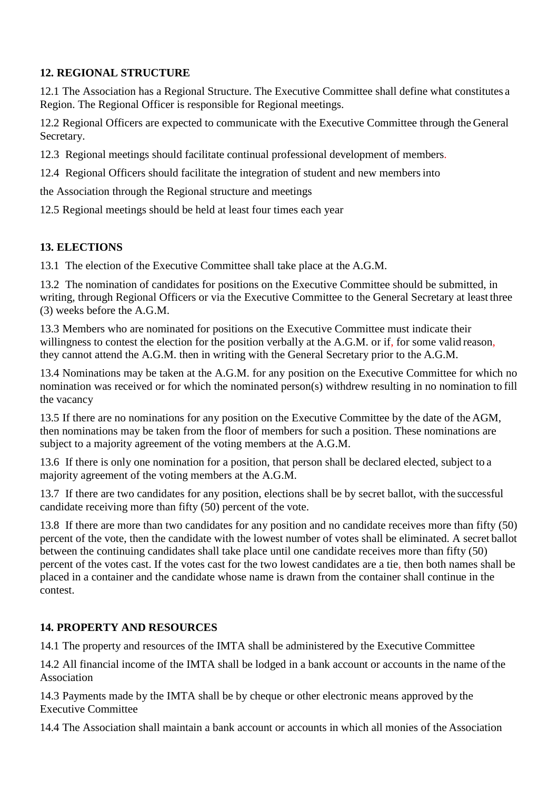### **12. REGIONAL STRUCTURE**

12.1 The Association has a Regional Structure. The Executive Committee shall define what constitutes a Region. The Regional Officer is responsible for Regional meetings.

12.2 Regional Officers are expected to communicate with the Executive Committee through the General Secretary.

12.3 Regional meetings should facilitate continual professional development of members.

12.4 Regional Officers should facilitate the integration of student and new membersinto

the Association through the Regional structure and meetings

12.5 Regional meetings should be held at least four times each year

## **13. ELECTIONS**

13.1 The election of the Executive Committee shall take place at the A.G.M.

13.2 The nomination of candidates for positions on the Executive Committee should be submitted, in writing, through Regional Officers or via the Executive Committee to the General Secretary at least three (3) weeks before the A.G.M.

13.3 Members who are nominated for positions on the Executive Committee must indicate their willingness to contest the election for the position verbally at the A.G.M. or if, for some valid reason, they cannot attend the A.G.M. then in writing with the General Secretary prior to the A.G.M.

13.4 Nominations may be taken at the A.G.M. for any position on the Executive Committee for which no nomination was received or for which the nominated person(s) withdrew resulting in no nomination to fill the vacancy

13.5 If there are no nominations for any position on the Executive Committee by the date of the AGM, then nominations may be taken from the floor of members for such a position. These nominations are subject to a majority agreement of the voting members at the A.G.M.

13.6 If there is only one nomination for a position, that person shall be declared elected, subject to a majority agreement of the voting members at the A.G.M.

13.7 If there are two candidates for any position, elections shall be by secret ballot, with the successful candidate receiving more than fifty (50) percent of the vote.

13.8 If there are more than two candidates for any position and no candidate receives more than fifty (50) percent of the vote, then the candidate with the lowest number of votes shall be eliminated. A secret ballot between the continuing candidates shall take place until one candidate receives more than fifty (50) percent of the votes cast. If the votes cast for the two lowest candidates are a tie, then both names shall be placed in a container and the candidate whose name is drawn from the container shall continue in the contest.

### **14. PROPERTY AND RESOURCES**

14.1 The property and resources of the IMTA shall be administered by the Executive Committee

14.2 All financial income of the IMTA shall be lodged in a bank account or accounts in the name of the Association

14.3 Payments made by the IMTA shall be by cheque or other electronic means approved by the Executive Committee

14.4 The Association shall maintain a bank account or accounts in which all monies of the Association